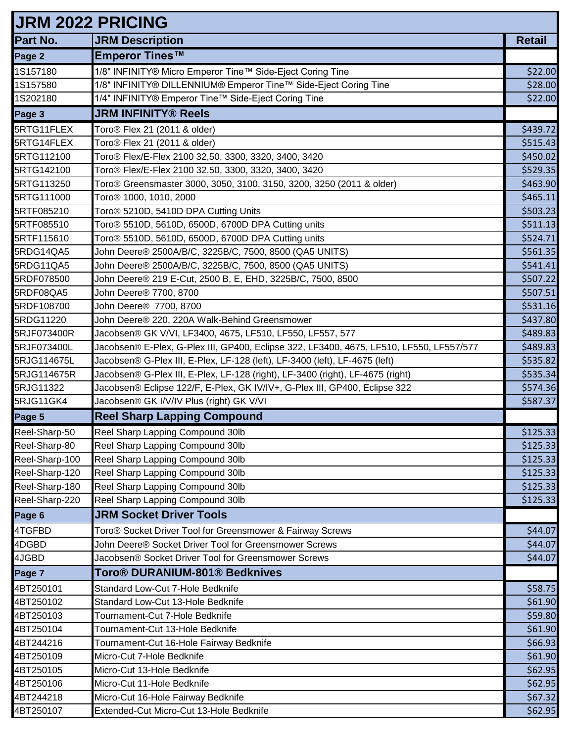| <b>JRM 2022 PRICING</b> |                                                                                         |               |
|-------------------------|-----------------------------------------------------------------------------------------|---------------|
| Part No.                | <b>JRM Description</b>                                                                  | <b>Retail</b> |
| Page 2                  | <b>Emperor Tines™</b>                                                                   |               |
| 1S157180                | 1/8" INFINITY® Micro Emperor Tine™ Side-Eject Coring Tine                               | \$22.00       |
| 1S157580                | 1/8" INFINITY® DILLENNIUM® Emperor Tine™ Side-Eject Coring Tine                         | \$28.00       |
| 1S202180                | 1/4" INFINITY® Emperor Tine™ Side-Eject Coring Tine                                     | \$22.00       |
| Page 3                  | <b>JRM INFINITY® Reels</b>                                                              |               |
| 5RTG11FLEX              | Toro <sup>®</sup> Flex 21 (2011 & older)                                                | \$439.72      |
| 5RTG14FLEX              | Toro <sup>®</sup> Flex 21 (2011 & older)                                                | \$515.43      |
| 5RTG112100              | Toro® Flex/E-Flex 2100 32,50, 3300, 3320, 3400, 3420                                    | \$450.02      |
| 5RTG142100              | Toro® Flex/E-Flex 2100 32,50, 3300, 3320, 3400, 3420                                    | \$529.35      |
| 5RTG113250              | Toro® Greensmaster 3000, 3050, 3100, 3150, 3200, 3250 (2011 & older)                    | \$463.90      |
| 5RTG111000              | Toro <sup>®</sup> 1000, 1010, 2000                                                      | \$465.11      |
| 5RTF085210              | Toro <sup>®</sup> 5210D, 5410D DPA Cutting Units                                        | \$503.23      |
| 5RTF085510              | Toro <sup>®</sup> 5510D, 5610D, 6500D, 6700D DPA Cutting units                          | \$511.13      |
| 5RTF115610              | Toro <sup>®</sup> 5510D, 5610D, 6500D, 6700D DPA Cutting units                          | \$524.71      |
| 5RDG14QA5               | John Deere® 2500A/B/C, 3225B/C, 7500, 8500 (QA5 UNITS)                                  | \$561.35      |
| 5RDG11QA5               | John Deere® 2500A/B/C, 3225B/C, 7500, 8500 (QA5 UNITS)                                  | \$541.41      |
| 5RDF078500              | John Deere® 219 E-Cut, 2500 B, E, EHD, 3225B/C, 7500, 8500                              | \$507.22      |
| 5RDF08QA5               | John Deere® 7700, 8700                                                                  | \$507.51      |
| 5RDF108700              | John Deere <sup>®</sup> 7700, 8700                                                      | \$531.16      |
| 5RDG11220               | John Deere® 220, 220A Walk-Behind Greensmower                                           | \$437.80      |
| 5RJF073400R             | Jacobsen® GK V/VI, LF3400, 4675, LF510, LF550, LF557, 577                               | \$489.83      |
| 5RJF073400L             | Jacobsen® E-Plex, G-Plex III, GP400, Eclipse 322, LF3400, 4675, LF510, LF550, LF557/577 | \$489.83      |
| 5RJG114675L             | Jacobsen® G-Plex III, E-Plex, LF-128 (left), LF-3400 (left), LF-4675 (left)             | \$535.82      |
| 5RJG114675R             | Jacobsen® G-Plex III, E-Plex, LF-128 (right), LF-3400 (right), LF-4675 (right)          | \$535.34      |
| 5RJG11322               | Jacobsen® Eclipse 122/F, E-Plex, GK IV/IV+, G-Plex III, GP400, Eclipse 322              | \$574.36      |
| 5RJG11GK4               | Jacobsen® GK I/V/IV Plus (right) GK V/VI                                                | \$587.37      |
| Page 5                  | <b>Reel Sharp Lapping Compound</b>                                                      |               |
| Reel-Sharp-50           | Reel Sharp Lapping Compound 30lb                                                        | \$125.33      |
| Reel-Sharp-80           | Reel Sharp Lapping Compound 30lb                                                        | \$125.33      |
| Reel-Sharp-100          | Reel Sharp Lapping Compound 30lb                                                        | \$125.33      |
| Reel-Sharp-120          | Reel Sharp Lapping Compound 30lb                                                        | \$125.33      |
| Reel-Sharp-180          | Reel Sharp Lapping Compound 30lb                                                        | \$125.33      |
| Reel-Sharp-220          | Reel Sharp Lapping Compound 30lb                                                        | \$125.33      |
| Page 6                  | <b>JRM Socket Driver Tools</b>                                                          |               |
| 4TGFBD                  | Toro® Socket Driver Tool for Greensmower & Fairway Screws                               | \$44.07       |
| 4DGBD                   | John Deere® Socket Driver Tool for Greensmower Screws                                   | \$44.07       |
| 4JGBD                   | Jacobsen® Socket Driver Tool for Greensmower Screws                                     | \$44.07       |
| Page 7                  | Toro® DURANIUM-801® Bedknives                                                           |               |
| 4BT250101               | Standard Low-Cut 7-Hole Bedknife                                                        | \$58.75       |
| 4BT250102               | Standard Low-Cut 13-Hole Bedknife                                                       | \$61.90       |
| 4BT250103               | Tournament-Cut 7-Hole Bedknife                                                          | \$59.80       |
| 4BT250104               | Tournament-Cut 13-Hole Bedknife                                                         | \$61.90       |
| 4BT244216               | Tournament-Cut 16-Hole Fairway Bedknife                                                 | \$66.93       |
| 4BT250109               | Micro-Cut 7-Hole Bedknife                                                               | \$61.90       |
| 4BT250105               | Micro-Cut 13-Hole Bedknife                                                              | \$62.95       |
| 4BT250106               | Micro-Cut 11-Hole Bedknife                                                              | \$62.95       |
| 4BT244218               | Micro-Cut 16-Hole Fairway Bedknife                                                      | \$67.32       |
| 4BT250107               | Extended-Cut Micro-Cut 13-Hole Bedknife                                                 | \$62.95       |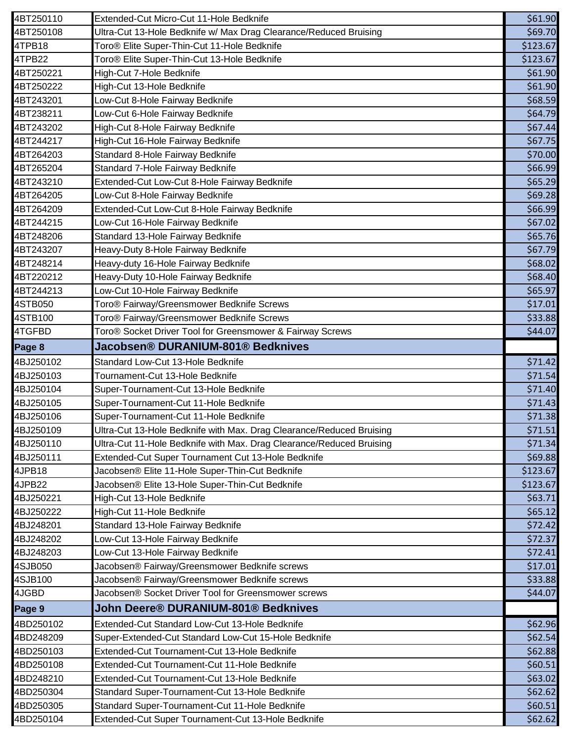| 4BT250110 |                                                                      |                               |
|-----------|----------------------------------------------------------------------|-------------------------------|
|           | Extended-Cut Micro-Cut 11-Hole Bedknife                              | \$61.90                       |
| 4BT250108 | Ultra-Cut 13-Hole Bedknife w/ Max Drag Clearance/Reduced Bruising    | \$69.70                       |
| 4TPB18    | Toro® Elite Super-Thin-Cut 11-Hole Bedknife                          | \$123.67                      |
| 4TPB22    | Toro <sup>®</sup> Elite Super-Thin-Cut 13-Hole Bedknife              | \$123.67                      |
| 4BT250221 | High-Cut 7-Hole Bedknife                                             | \$61.90                       |
| 4BT250222 | High-Cut 13-Hole Bedknife                                            | \$61.90                       |
| 4BT243201 | Low-Cut 8-Hole Fairway Bedknife                                      | \$68.59                       |
| 4BT238211 | Low-Cut 6-Hole Fairway Bedknife                                      | \$64.79                       |
| 4BT243202 | High-Cut 8-Hole Fairway Bedknife                                     | \$67.44                       |
| 4BT244217 | High-Cut 16-Hole Fairway Bedknife                                    | \$67.75                       |
| 4BT264203 | Standard 8-Hole Fairway Bedknife                                     | \$70.00                       |
| 4BT265204 | Standard 7-Hole Fairway Bedknife                                     | \$66.99                       |
| 4BT243210 | Extended-Cut Low-Cut 8-Hole Fairway Bedknife                         | \$65.29                       |
| 4BT264205 | Low-Cut 8-Hole Fairway Bedknife                                      | \$69.28                       |
| 4BT264209 | Extended-Cut Low-Cut 8-Hole Fairway Bedknife                         | \$66.99                       |
| 4BT244215 | Low-Cut 16-Hole Fairway Bedknife                                     | \$67.02                       |
| 4BT248206 | Standard 13-Hole Fairway Bedknife                                    | \$65.76                       |
| 4BT243207 | Heavy-Duty 8-Hole Fairway Bedknife                                   | \$67.79                       |
| 4BT248214 | Heavy-duty 16-Hole Fairway Bedknife                                  | \$68.02                       |
| 4BT220212 | Heavy-Duty 10-Hole Fairway Bedknife                                  | \$68.40                       |
| 4BT244213 | Low-Cut 10-Hole Fairway Bedknife                                     | \$65.97                       |
| 4STB050   | Toro® Fairway/Greensmower Bedknife Screws                            | \$17.01                       |
| 4STB100   | Toro® Fairway/Greensmower Bedknife Screws                            | \$33.88                       |
| 4TGFBD    | Toro® Socket Driver Tool for Greensmower & Fairway Screws            | \$44.07                       |
| Page 8    | Jacobsen® DURANIUM-801® Bedknives                                    |                               |
| 4BJ250102 | Standard Low-Cut 13-Hole Bedknife                                    | \$71.42                       |
| 4BJ250103 | Tournament-Cut 13-Hole Bedknife                                      | \$71.54                       |
| 4BJ250104 | Super-Tournament-Cut 13-Hole Bedknife                                |                               |
|           |                                                                      |                               |
| 4BJ250105 | Super-Tournament-Cut 11-Hole Bedknife                                | \$71.40<br>\$71.43            |
| 4BJ250106 | Super-Tournament-Cut 11-Hole Bedknife                                |                               |
| 4BJ250109 | Ultra-Cut 13-Hole Bedknife with Max. Drag Clearance/Reduced Bruising |                               |
| 4BJ250110 | Ultra-Cut 11-Hole Bedknife with Max. Drag Clearance/Reduced Bruising | \$71.38<br>\$71.51<br>\$71.34 |
| 4BJ250111 | Extended-Cut Super Tournament Cut 13-Hole Bedknife                   |                               |
| 4JPB18    | Jacobsen® Elite 11-Hole Super-Thin-Cut Bedknife                      | \$69.88<br>\$123.67           |
| 4JPB22    | Jacobsen® Elite 13-Hole Super-Thin-Cut Bedknife                      | \$123.67                      |
| 4BJ250221 | High-Cut 13-Hole Bedknife                                            | \$63.71                       |
| 4BJ250222 | High-Cut 11-Hole Bedknife                                            | \$65.12                       |
| 4BJ248201 | Standard 13-Hole Fairway Bedknife                                    | \$72.42                       |
| 4BJ248202 | Low-Cut 13-Hole Fairway Bedknife                                     | \$72.37                       |
| 4BJ248203 | Low-Cut 13-Hole Fairway Bedknife                                     | \$72.41                       |
| 4SJB050   | Jacobsen® Fairway/Greensmower Bedknife screws                        | \$17.01                       |
| 4SJB100   | Jacobsen® Fairway/Greensmower Bedknife screws                        |                               |
| 4JGBD     | Jacobsen® Socket Driver Tool for Greensmower screws                  |                               |
| Page 9    | John Deere® DURANIUM-801® Bedknives                                  | \$33.88<br>\$44.07            |
| 4BD250102 | Extended-Cut Standard Low-Cut 13-Hole Bedknife                       | \$62.96                       |
| 4BD248209 | Super-Extended-Cut Standard Low-Cut 15-Hole Bedknife                 | \$62.54                       |
| 4BD250103 | Extended-Cut Tournament-Cut 13-Hole Bedknife                         | \$62.88                       |
| 4BD250108 | Extended-Cut Tournament-Cut 11-Hole Bedknife                         | \$60.51                       |
| 4BD248210 | Extended-Cut Tournament-Cut 13-Hole Bedknife                         | \$63.02                       |
| 4BD250304 | Standard Super-Tournament-Cut 13-Hole Bedknife                       | \$62.62                       |
| 4BD250305 | Standard Super-Tournament-Cut 11-Hole Bedknife                       | \$60.51                       |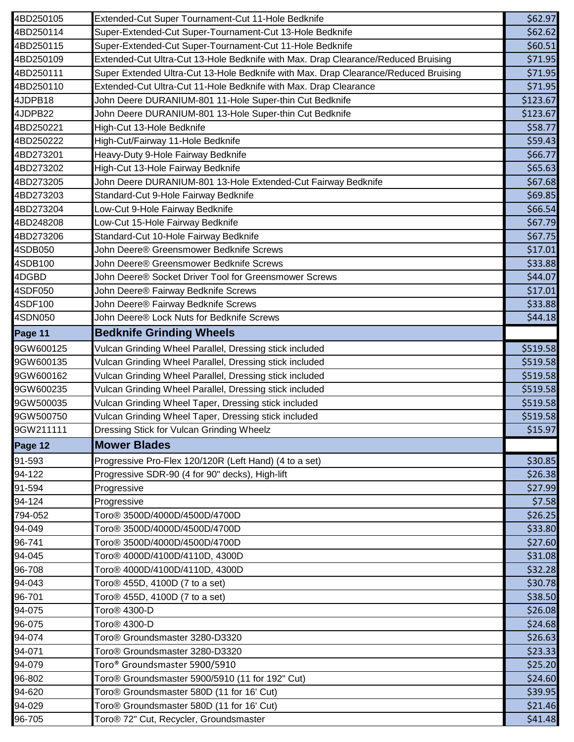| 4BD250105 | Extended-Cut Super Tournament-Cut 11-Hole Bedknife                                  | \$62.97  |
|-----------|-------------------------------------------------------------------------------------|----------|
| 4BD250114 | Super-Extended-Cut Super-Tournament-Cut 13-Hole Bedknife                            | \$62.62  |
| 4BD250115 | Super-Extended-Cut Super-Tournament-Cut 11-Hole Bedknife                            | \$60.51  |
| 4BD250109 | Extended-Cut Ultra-Cut 13-Hole Bedknife with Max. Drap Clearance/Reduced Bruising   | \$71.95  |
| 4BD250111 | Super Extended Ultra-Cut 13-Hole Bedknife with Max. Drap Clearance/Reduced Bruising | \$71.95  |
| 4BD250110 | Extended-Cut Ultra-Cut 11-Hole Bedknife with Max. Drap Clearance                    | \$71.95  |
| 4JDPB18   | John Deere DURANIUM-801 11-Hole Super-thin Cut Bedknife                             | \$123.67 |
| 4JDPB22   | John Deere DURANIUM-801 13-Hole Super-thin Cut Bedknife                             | \$123.67 |
| 4BD250221 | High-Cut 13-Hole Bedknife                                                           | \$58.77  |
| 4BD250222 | High-Cut/Fairway 11-Hole Bedknife                                                   | \$59.43  |
| 4BD273201 | Heavy-Duty 9-Hole Fairway Bedknife                                                  | \$66.77  |
| 4BD273202 | High-Cut 13-Hole Fairway Bedknife                                                   | \$65.63  |
| 4BD273205 | John Deere DURANIUM-801 13-Hole Extended-Cut Fairway Bedknife                       | \$67.68  |
| 4BD273203 | Standard-Cut 9-Hole Fairway Bedknife                                                | \$69.85  |
| 4BD273204 | Low-Cut 9-Hole Fairway Bedknife                                                     | \$66.54  |
| 4BD248208 | Low-Cut 15-Hole Fairway Bedknife                                                    | \$67.79  |
| 4BD273206 | Standard-Cut 10-Hole Fairway Bedknife                                               | \$67.75  |
| 4SDB050   | John Deere® Greensmower Bedknife Screws                                             | \$17.01  |
| 4SDB100   | John Deere® Greensmower Bedknife Screws                                             | \$33.88  |
| 4DGBD     | John Deere® Socket Driver Tool for Greensmower Screws                               | \$44.07  |
| 4SDF050   | John Deere® Fairway Bedknife Screws                                                 | \$17.01  |
| 4SDF100   | John Deere® Fairway Bedknife Screws                                                 | \$33.88  |
| 4SDN050   | John Deere® Lock Nuts for Bedknife Screws                                           | \$44.18  |
| Page 11   | <b>Bedknife Grinding Wheels</b>                                                     |          |
| 9GW600125 | Vulcan Grinding Wheel Parallel, Dressing stick included                             | \$519.58 |
| 9GW600135 | Vulcan Grinding Wheel Parallel, Dressing stick included                             | \$519.58 |
| 9GW600162 | Vulcan Grinding Wheel Parallel, Dressing stick included                             | \$519.58 |
| 9GW600235 | Vulcan Grinding Wheel Parallel, Dressing stick included                             | \$519.58 |
| 9GW500035 | Vulcan Grinding Wheel Taper, Dressing stick included                                | \$519.58 |
| 9GW500750 | Vulcan Grinding Wheel Taper, Dressing stick included                                | \$519.58 |
| 9GW211111 | Dressing Stick for Vulcan Grinding Wheelz                                           | \$15.97  |
| Page 12   | <b>Mower Blades</b>                                                                 |          |
| 91-593    | Progressive Pro-Flex 120/120R (Left Hand) (4 to a set)                              | \$30.85  |
| 94-122    | Progressive SDR-90 (4 for 90" decks), High-lift                                     | \$26.38  |
| 91-594    | Progressive                                                                         | \$27.99  |
| 94-124    | Progressive                                                                         | \$7.58   |
| 794-052   | Toro <sup>®</sup> 3500D/4000D/4500D/4700D                                           | \$26.25  |
| 94-049    | Toro <sup>®</sup> 3500D/4000D/4500D/4700D                                           | \$33.80  |
| 96-741    | Toro <sup>®</sup> 3500D/4000D/4500D/4700D                                           | \$27.60  |
| 94-045    | Toro <sup>®</sup> 4000D/4100D/4110D, 4300D                                          | \$31.08  |
| 96-708    | Toro <sup>®</sup> 4000D/4100D/4110D, 4300D                                          | \$32.28  |
| 94-043    | Toro <sup>®</sup> 455D, 4100D (7 to a set)                                          | \$30.78  |
| 96-701    | Toro <sup>®</sup> 455D, 4100D (7 to a set)                                          | \$38.50  |
| 94-075    | Toro <sup>®</sup> 4300-D                                                            | \$26.08  |
| 96-075    | Toro <sup>®</sup> 4300-D                                                            | \$24.68  |
| 94-074    | Toro <sup>®</sup> Groundsmaster 3280-D3320                                          | \$26.63  |
| 94-071    | Toro <sup>®</sup> Groundsmaster 3280-D3320                                          | \$23.33  |
| 94-079    | Toro® Groundsmaster 5900/5910                                                       | \$25.20  |
| 96-802    | Toro® Groundsmaster 5900/5910 (11 for 192" Cut)                                     | \$24.60  |
| 94-620    | Toro <sup>®</sup> Groundsmaster 580D (11 for 16' Cut)                               | \$39.95  |
| 94-029    | Toro <sup>®</sup> Groundsmaster 580D (11 for 16' Cut)                               | \$21.46  |
| 96-705    | Toro <sup>®</sup> 72" Cut, Recycler, Groundsmaster                                  | \$41.48  |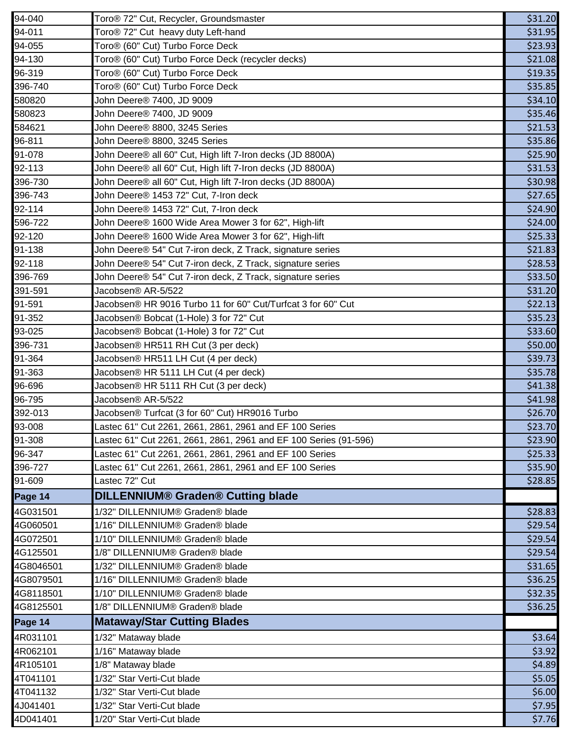| 94-040               | Toro <sup>®</sup> 72" Cut, Recycler, Groundsmaster               | \$31.20          |
|----------------------|------------------------------------------------------------------|------------------|
| 94-011               | Toro <sup>®</sup> 72" Cut heavy duty Left-hand                   | \$31.95          |
| 94-055               | Toro <sup>®</sup> (60" Cut) Turbo Force Deck                     | \$23.93          |
| 94-130               | Toro <sup>®</sup> (60" Cut) Turbo Force Deck (recycler decks)    | \$21.08          |
| 96-319               | Toro <sup>®</sup> (60" Cut) Turbo Force Deck                     | \$19.35          |
| 396-740              | Toro <sup>®</sup> (60" Cut) Turbo Force Deck                     | \$35.85          |
| 580820               | John Deere® 7400, JD 9009                                        | \$34.10          |
| 580823               | John Deere® 7400, JD 9009                                        | \$35.46          |
| 584621               | John Deere® 8800, 3245 Series                                    | \$21.53          |
| 96-811               | John Deere® 8800, 3245 Series                                    | \$35.86          |
| 91-078               | John Deere® all 60" Cut, High lift 7-Iron decks (JD 8800A)       | \$25.90          |
| 92-113               | John Deere® all 60" Cut, High lift 7-Iron decks (JD 8800A)       | \$31.53          |
| 396-730              | John Deere® all 60" Cut, High lift 7-Iron decks (JD 8800A)       | \$30.98          |
| 396-743              | John Deere® 1453 72" Cut, 7-Iron deck                            | \$27.65          |
| 92-114               | John Deere® 1453 72" Cut, 7-Iron deck                            | \$24.90          |
| 596-722              | John Deere® 1600 Wide Area Mower 3 for 62", High-lift            | \$24.00          |
| 92-120               | John Deere® 1600 Wide Area Mower 3 for 62", High-lift            | \$25.33          |
| 91-138               | John Deere® 54" Cut 7-iron deck, Z Track, signature series       | \$21.83          |
| 92-118               | John Deere® 54" Cut 7-iron deck, Z Track, signature series       | \$28.53          |
| 396-769              | John Deere® 54" Cut 7-iron deck, Z Track, signature series       | \$33.50          |
| 391-591              | Jacobsen® AR-5/522                                               | \$31.20          |
| 91-591               | Jacobsen® HR 9016 Turbo 11 for 60" Cut/Turfcat 3 for 60" Cut     | \$22.13          |
| 91-352               | Jacobsen® Bobcat (1-Hole) 3 for 72" Cut                          | \$35.23          |
| 93-025               | Jacobsen® Bobcat (1-Hole) 3 for 72" Cut                          | \$33.60          |
| 396-731              | Jacobsen® HR511 RH Cut (3 per deck)                              | \$50.00          |
| 91-364               | Jacobsen® HR511 LH Cut (4 per deck)                              | \$39.73          |
| 91-363               | Jacobsen® HR 5111 LH Cut (4 per deck)                            | \$35.78          |
| 96-696               | Jacobsen® HR 5111 RH Cut (3 per deck)                            | \$41.38          |
| 96-795               | Jacobsen® AR-5/522                                               | \$41.98          |
| 392-013              | Jacobsen® Turfcat (3 for 60" Cut) HR9016 Turbo                   | \$26.70          |
| 93-008               | Lastec 61" Cut 2261, 2661, 2861, 2961 and EF 100 Series          | \$23.70          |
| 91-308               | Lastec 61" Cut 2261, 2661, 2861, 2961 and EF 100 Series (91-596) | \$23.90          |
| 96-347               | Lastec 61" Cut 2261, 2661, 2861, 2961 and EF 100 Series          | \$25.33          |
| 396-727              | Lastec 61" Cut 2261, 2661, 2861, 2961 and EF 100 Series          | \$35.90          |
| 91-609               | Lastec 72" Cut                                                   | \$28.85          |
| Page 14              | DILLENNIUM® Graden® Cutting blade                                |                  |
| 4G031501             | 1/32" DILLENNIUM® Graden® blade                                  | \$28.83          |
| 4G060501             | 1/16" DILLENNIUM® Graden® blade                                  | \$29.54          |
| 4G072501             | 1/10" DILLENNIUM® Graden® blade                                  | \$29.54          |
| 4G125501             | 1/8" DILLENNIUM® Graden® blade                                   | \$29.54          |
| 4G8046501            | 1/32" DILLENNIUM® Graden® blade                                  | \$31.65          |
| 4G8079501            | 1/16" DILLENNIUM® Graden® blade                                  | \$36.25          |
| 4G8118501            | 1/10" DILLENNIUM® Graden® blade                                  | \$32.35          |
| 4G8125501            | 1/8" DILLENNIUM® Graden® blade                                   | \$36.25          |
| Page 14              | <b>Mataway/Star Cutting Blades</b>                               |                  |
|                      |                                                                  |                  |
| 4R031101<br>4R062101 | 1/32" Mataway blade                                              | \$3.64           |
|                      | 1/16" Mataway blade                                              | \$3.92           |
| 4R105101<br>4T041101 | 1/8" Mataway blade<br>1/32" Star Verti-Cut blade                 | \$4.89<br>\$5.05 |
|                      |                                                                  |                  |
| 4T041132<br>4J041401 | 1/32" Star Verti-Cut blade                                       | \$6.00           |
|                      | 1/32" Star Verti-Cut blade                                       | \$7.95           |
| 4D041401             | 1/20" Star Verti-Cut blade                                       | \$7.76           |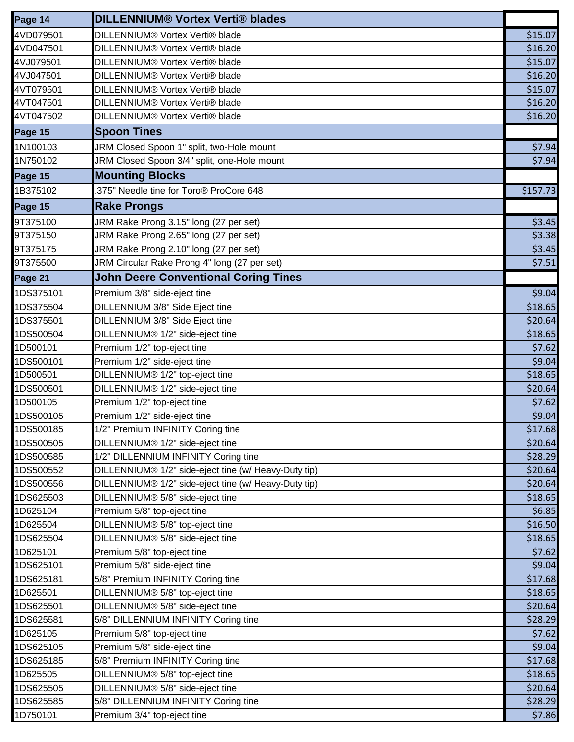| Page 14   | <b>DILLENNIUM® Vortex Verti® blades</b>              |          |
|-----------|------------------------------------------------------|----------|
| 4VD079501 | DILLENNIUM® Vortex Verti® blade                      | \$15.07  |
| 4VD047501 | DILLENNIUM® Vortex Verti® blade                      | \$16.20  |
| 4VJ079501 | DILLENNIUM® Vortex Verti® blade                      | \$15.07  |
| 4VJ047501 | DILLENNIUM® Vortex Verti® blade                      | \$16.20  |
| 4VT079501 | DILLENNIUM® Vortex Verti® blade                      | \$15.07  |
| 4VT047501 | DILLENNIUM® Vortex Verti® blade                      | \$16.20  |
| 4VT047502 | DILLENNIUM® Vortex Verti® blade                      | \$16.20  |
| Page 15   | <b>Spoon Tines</b>                                   |          |
| 1N100103  | JRM Closed Spoon 1" split, two-Hole mount            | \$7.94   |
| 1N750102  | JRM Closed Spoon 3/4" split, one-Hole mount          | \$7.94   |
| Page 15   | <b>Mounting Blocks</b>                               |          |
| 1B375102  | .375" Needle tine for Toro <sup>®</sup> ProCore 648  | \$157.73 |
| Page 15   | <b>Rake Prongs</b>                                   |          |
| 9T375100  | JRM Rake Prong 3.15" long (27 per set)               | \$3.45   |
| 9T375150  | JRM Rake Prong 2.65" long (27 per set)               | \$3.38   |
| 9T375175  | JRM Rake Prong 2.10" long (27 per set)               | \$3.45   |
| 9T375500  | JRM Circular Rake Prong 4" long (27 per set)         | \$7.51   |
| Page 21   | <b>John Deere Conventional Coring Tines</b>          |          |
| 1DS375101 | Premium 3/8" side-eject tine                         | \$9.04   |
| 1DS375504 | DILLENNIUM 3/8" Side Eject tine                      | \$18.65  |
| 1DS375501 | DILLENNIUM 3/8" Side Eject tine                      | \$20.64  |
| 1DS500504 | DILLENNIUM® 1/2" side-eject tine                     | \$18.65  |
| 1D500101  | Premium 1/2" top-eject tine                          | \$7.62   |
| 1DS500101 | Premium 1/2" side-eject tine                         | \$9.04   |
| 1D500501  | DILLENNIUM® 1/2" top-eject tine                      | \$18.65  |
| 1DS500501 | DILLENNIUM® 1/2" side-eject tine                     | \$20.64  |
| 1D500105  | Premium 1/2" top-eject tine                          | \$7.62   |
| 1DS500105 | Premium 1/2" side-eject tine                         | \$9.04   |
| 1DS500185 | 1/2" Premium INFINITY Coring tine                    | \$17.68  |
| 1DS500505 | DILLENNIUM® 1/2" side-eject tine                     | \$20.64  |
| 1DS500585 | 1/2" DILLENNIUM INFINITY Coring tine                 | \$28.29  |
| 1DS500552 | DILLENNIUM® 1/2" side-eject tine (w/ Heavy-Duty tip) | \$20.64  |
| 1DS500556 | DILLENNIUM® 1/2" side-eject tine (w/ Heavy-Duty tip) | \$20.64  |
| 1DS625503 | DILLENNIUM® 5/8" side-eject tine                     | \$18.65  |
| 1D625104  | Premium 5/8" top-eject tine                          | \$6.85   |
| 1D625504  | DILLENNIUM® 5/8" top-eject tine                      | \$16.50  |
| 1DS625504 | DILLENNIUM® 5/8" side-eject tine                     | \$18.65  |
| 1D625101  | Premium 5/8" top-eject tine                          | \$7.62   |
| 1DS625101 | Premium 5/8" side-eject tine                         | \$9.04   |
| 1DS625181 | 5/8" Premium INFINITY Coring tine                    | \$17.68  |
| 1D625501  | DILLENNIUM® 5/8" top-eject tine                      | \$18.65  |
| 1DS625501 | DILLENNIUM® 5/8" side-eject tine                     | \$20.64  |
| 1DS625581 | 5/8" DILLENNIUM INFINITY Coring tine                 | \$28.29  |
| 1D625105  | Premium 5/8" top-eject tine                          | \$7.62   |
| 1DS625105 | Premium 5/8" side-eject tine                         | \$9.04   |
| 1DS625185 | 5/8" Premium INFINITY Coring tine                    | \$17.68  |
| 1D625505  | DILLENNIUM® 5/8" top-eject tine                      | \$18.65  |
| 1DS625505 | DILLENNIUM® 5/8" side-eject tine                     | \$20.64  |
| 1DS625585 | 5/8" DILLENNIUM INFINITY Coring tine                 | \$28.29  |
| 1D750101  | Premium 3/4" top-eject tine                          | \$7.86   |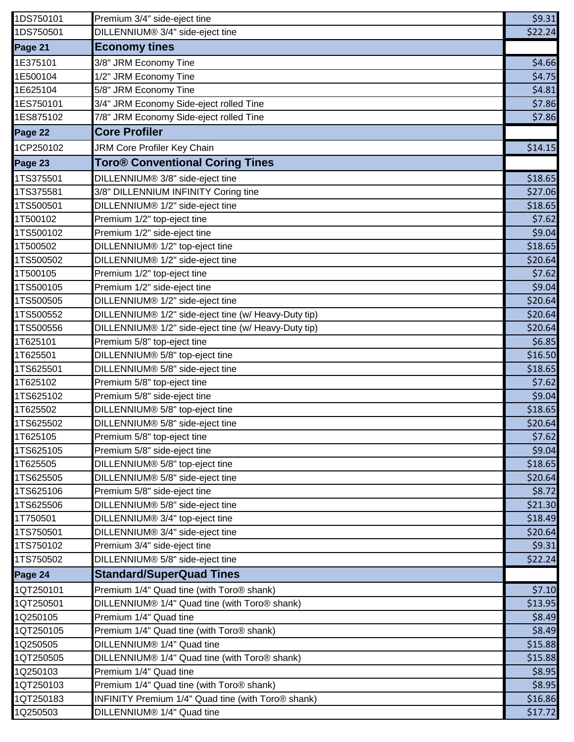| 1DS750101 | Premium 3/4" side-eject tine                          | \$9.31  |
|-----------|-------------------------------------------------------|---------|
| 1DS750501 | DILLENNIUM® 3/4" side-eject tine                      | \$22.24 |
| Page 21   | <b>Economy tines</b>                                  |         |
| 1E375101  | 3/8" JRM Economy Tine                                 | \$4.66  |
| 1E500104  | 1/2" JRM Economy Tine                                 | \$4.75  |
| 1E625104  | 5/8" JRM Economy Tine                                 | \$4.81  |
| 1ES750101 | 3/4" JRM Economy Side-eject rolled Tine               | \$7.86  |
| 1ES875102 | 7/8" JRM Economy Side-eject rolled Tine               | \$7.86  |
| Page 22   | <b>Core Profiler</b>                                  |         |
| 1CP250102 | JRM Core Profiler Key Chain                           | \$14.15 |
| Page 23   | <b>Toro<sup>®</sup> Conventional Coring Tines</b>     |         |
| 1TS375501 | DILLENNIUM® 3/8" side-eject tine                      | \$18.65 |
| 1TS375581 | 3/8" DILLENNIUM INFINITY Coring tine                  | \$27.06 |
| 1TS500501 | DILLENNIUM® 1/2" side-eject tine                      | \$18.65 |
| 1T500102  | Premium 1/2" top-eject tine                           | \$7.62  |
| 1TS500102 | Premium 1/2" side-eject tine                          | \$9.04  |
| 1T500502  | DILLENNIUM® 1/2" top-eject tine                       | \$18.65 |
| 1TS500502 | DILLENNIUM® 1/2" side-eject tine                      | \$20.64 |
| 1T500105  | Premium 1/2" top-eject tine                           | \$7.62  |
| 1TS500105 | Premium 1/2" side-eject tine                          | \$9.04  |
| 1TS500505 | DILLENNIUM® 1/2" side-eject tine                      | \$20.64 |
| 1TS500552 | DILLENNIUM® 1/2" side-eject tine (w/ Heavy-Duty tip)  | \$20.64 |
| 1TS500556 | DILLENNIUM® 1/2" side-eject tine (w/ Heavy-Duty tip)  | \$20.64 |
| 1T625101  | Premium 5/8" top-eject tine                           | \$6.85  |
| 1T625501  | DILLENNIUM® 5/8" top-eject tine                       | \$16.50 |
| 1TS625501 | DILLENNIUM® 5/8" side-eject tine                      | \$18.65 |
| 1T625102  | Premium 5/8" top-eject tine                           | \$7.62  |
| 1TS625102 | Premium 5/8" side-eject tine                          | \$9.04  |
| 1T625502  | DILLENNIUM® 5/8" top-eject tine                       | \$18.65 |
| 1TS625502 | DILLENNIUM® 5/8" side-eject tine                      | \$20.64 |
| 1T625105  | Premium 5/8" top-eject tine                           | \$7.62  |
| 1TS625105 | Premium 5/8" side-eject tine                          | \$9.04  |
| 1T625505  | DILLENNIUM® 5/8" top-eject tine                       | \$18.65 |
| 1TS625505 | DILLENNIUM® 5/8" side-eject tine                      | \$20.64 |
| 1TS625106 | Premium 5/8" side-eject tine                          | \$8.72  |
| 1TS625506 | DILLENNIUM® 5/8" side-eject tine                      | \$21.30 |
| 1T750501  | DILLENNIUM® 3/4" top-eject tine                       | \$18.49 |
| 1TS750501 | DILLENNIUM® 3/4" side-eject tine                      | \$20.64 |
| 1TS750102 | Premium 3/4" side-eject tine                          | \$9.31  |
| 1TS750502 | DILLENNIUM® 5/8" side-eject tine                      | \$22.24 |
| Page 24   | <b>Standard/SuperQuad Tines</b>                       |         |
| 1QT250101 | Premium 1/4" Quad tine (with Toro <sup>®</sup> shank) | \$7.10  |
| 1QT250501 | DILLENNIUM® 1/4" Quad tine (with Toro® shank)         | \$13.95 |
| 1Q250105  | Premium 1/4" Quad tine                                | \$8.49  |
| 1QT250105 | Premium 1/4" Quad tine (with Toro <sup>®</sup> shank) | \$8.49  |
| 1Q250505  | DILLENNIUM® 1/4" Quad tine                            | \$15.88 |
| 1QT250505 | DILLENNIUM® 1/4" Quad tine (with Toro® shank)         | \$15.88 |
| 1Q250103  | Premium 1/4" Quad tine                                | \$8.95  |
| 1QT250103 | Premium 1/4" Quad tine (with Toro® shank)             | \$8.95  |
| 1QT250183 | INFINITY Premium 1/4" Quad tine (with Toro® shank)    | \$16.86 |
| 1Q250503  | DILLENNIUM® 1/4" Quad tine                            | \$17.72 |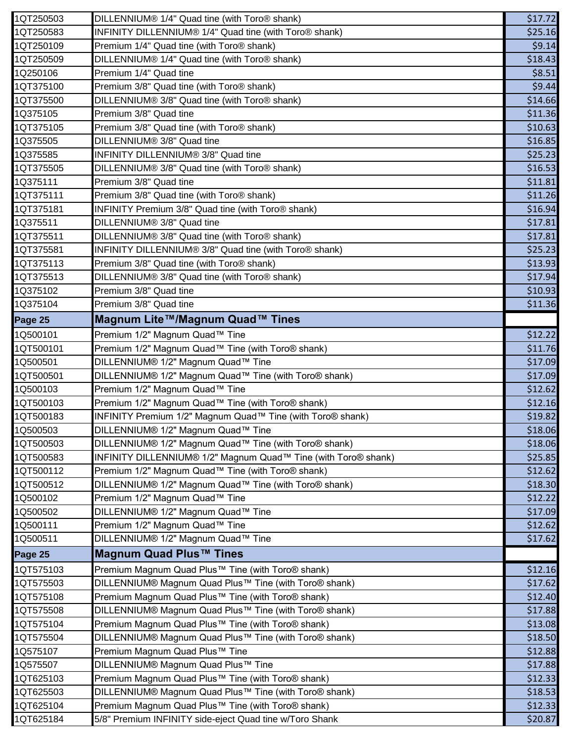| 1QT250503 | DILLENNIUM® 1/4" Quad tine (with Toro® shank)                  | \$17.72 |
|-----------|----------------------------------------------------------------|---------|
| 1QT250583 | INFINITY DILLENNIUM® 1/4" Quad tine (with Toro® shank)         | \$25.16 |
| 1QT250109 | Premium 1/4" Quad tine (with Toro <sup>®</sup> shank)          | \$9.14  |
| 1QT250509 | DILLENNIUM® 1/4" Quad tine (with Toro® shank)                  | \$18.43 |
| 1Q250106  | Premium 1/4" Quad tine                                         | \$8.51  |
| 1QT375100 | Premium 3/8" Quad tine (with Toro <sup>®</sup> shank)          | \$9.44  |
| 1QT375500 | DILLENNIUM® 3/8" Quad tine (with Toro® shank)                  | \$14.66 |
| 1Q375105  | Premium 3/8" Quad tine                                         | \$11.36 |
| 1QT375105 | Premium 3/8" Quad tine (with Toro <sup>®</sup> shank)          | \$10.63 |
| 1Q375505  | DILLENNIUM® 3/8" Quad tine                                     | \$16.85 |
| 1Q375585  | INFINITY DILLENNIUM® 3/8" Quad tine                            | \$25.23 |
| 1QT375505 | DILLENNIUM® 3/8" Quad tine (with Toro® shank)                  | \$16.53 |
| 1Q375111  | Premium 3/8" Quad tine                                         | \$11.81 |
| 1QT375111 | Premium 3/8" Quad tine (with Toro® shank)                      | \$11.26 |
| 1QT375181 | INFINITY Premium 3/8" Quad tine (with Toro® shank)             | \$16.94 |
| 1Q375511  | DILLENNIUM® 3/8" Quad tine                                     | \$17.81 |
| 1QT375511 | DILLENNIUM® 3/8" Quad tine (with Toro® shank)                  | \$17.81 |
| 1QT375581 | INFINITY DILLENNIUM® 3/8" Quad tine (with Toro® shank)         | \$25.23 |
| 1QT375113 | Premium 3/8" Quad tine (with Toro <sup>®</sup> shank)          | \$13.93 |
| 1QT375513 | DILLENNIUM® 3/8" Quad tine (with Toro® shank)                  | \$17.94 |
| 1Q375102  | Premium 3/8" Quad tine                                         | \$10.93 |
| 1Q375104  | Premium 3/8" Quad tine                                         | \$11.36 |
| Page 25   | Magnum Lite™/Magnum Quad™ Tines                                |         |
| 1Q500101  | Premium 1/2" Magnum Quad™ Tine                                 | \$12.22 |
| 1QT500101 | Premium 1/2" Magnum Quad™ Tine (with Toro® shank)              | \$11.76 |
| 1Q500501  | DILLENNIUM® 1/2" Magnum Quad™ Tine                             | \$17.09 |
| 1QT500501 | DILLENNIUM® 1/2" Magnum Quad™ Tine (with Toro® shank)          | \$17.09 |
| 1Q500103  | Premium 1/2" Magnum Quad™ Tine                                 | \$12.62 |
| 1QT500103 | Premium 1/2" Magnum Quad™ Tine (with Toro® shank)              | \$12.16 |
| 1QT500183 | INFINITY Premium 1/2" Magnum Quad™ Tine (with Toro® shank)     | \$19.82 |
| 1Q500503  | DILLENNIUM® 1/2" Magnum Quad™ Tine                             | \$18.06 |
| 1QT500503 | DILLENNIUM® 1/2" Magnum Quad™ Tine (with Toro® shank)          | \$18.06 |
| 1QT500583 | INFINITY DILLENNIUM® 1/2" Magnum Quad™ Tine (with Toro® shank) | \$25.85 |
| 1QT500112 | Premium 1/2" Magnum Quad™ Tine (with Toro® shank)              | \$12.62 |
| 1QT500512 | DILLENNIUM® 1/2" Magnum Quad™ Tine (with Toro® shank)          | \$18.30 |
| 1Q500102  | Premium 1/2" Magnum Quad™ Tine                                 | \$12.22 |
| 1Q500502  | DILLENNIUM® 1/2" Magnum Quad™ Tine                             | \$17.09 |
| 1Q500111  | Premium 1/2" Magnum Quad™ Tine                                 | \$12.62 |
| 1Q500511  | DILLENNIUM® 1/2" Magnum Quad™ Tine                             | \$17.62 |
| Page 25   | Magnum Quad Plus™ Tines                                        |         |
| 1QT575103 | Premium Magnum Quad Plus™ Tine (with Toro® shank)              | \$12.16 |
| 1QT575503 | DILLENNIUM® Magnum Quad Plus™ Tine (with Toro® shank)          | \$17.62 |
| 1QT575108 | Premium Magnum Quad Plus™ Tine (with Toro® shank)              | \$12.40 |
| 1QT575508 | DILLENNIUM® Magnum Quad Plus™ Tine (with Toro® shank)          | \$17.88 |
| 1QT575104 | Premium Magnum Quad Plus™ Tine (with Toro® shank)              | \$13.08 |
| 1QT575504 | DILLENNIUM® Magnum Quad Plus™ Tine (with Toro® shank)          | \$18.50 |
| 1Q575107  | Premium Magnum Quad Plus™ Tine                                 | \$12.88 |
| 1Q575507  | DILLENNIUM® Magnum Quad Plus™ Tine                             | \$17.88 |
|           |                                                                |         |
| 1QT625103 | Premium Magnum Quad Plus™ Tine (with Toro® shank)              | \$12.33 |
| 1QT625503 | DILLENNIUM® Magnum Quad Plus™ Tine (with Toro® shank)          | \$18.53 |
| 1QT625104 | Premium Magnum Quad Plus™ Tine (with Toro® shank)              | \$12.33 |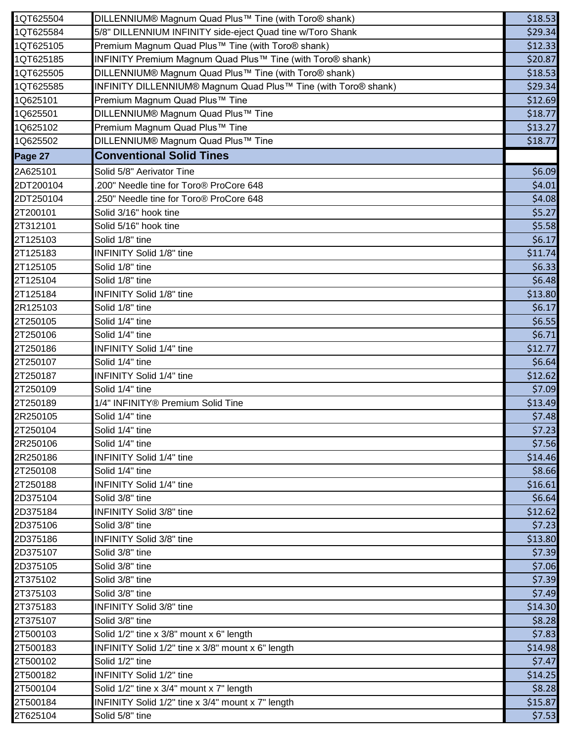| 1QT625504 | DILLENNIUM® Magnum Quad Plus™ Tine (with Toro® shank)                 | \$18.53 |
|-----------|-----------------------------------------------------------------------|---------|
| 1QT625584 | 5/8" DILLENNIUM INFINITY side-eject Quad tine w/Toro Shank            | \$29.34 |
| 1QT625105 | Premium Magnum Quad Plus™ Tine (with Toro® shank)                     | \$12.33 |
| 1QT625185 | INFINITY Premium Magnum Quad Plus™ Tine (with Toro® shank)            | \$20.87 |
| 1QT625505 | DILLENNIUM® Magnum Quad Plus™ Tine (with Toro® shank)                 | \$18.53 |
| 1QT625585 | <b>INFINITY DILLENNIUM® Magnum Quad Plus™ Tine (with Toro® shank)</b> | \$29.34 |
| 1Q625101  | Premium Magnum Quad Plus™ Tine                                        | \$12.69 |
| 1Q625501  | DILLENNIUM® Magnum Quad Plus™ Tine                                    | \$18.77 |
| 1Q625102  | Premium Magnum Quad Plus™ Tine                                        | \$13.27 |
| 1Q625502  | DILLENNIUM® Magnum Quad Plus™ Tine                                    | \$18.77 |
| Page 27   | <b>Conventional Solid Tines</b>                                       |         |
| 2A625101  | Solid 5/8" Aerivator Tine                                             | \$6.09  |
| 2DT200104 | .200" Needle tine for Toro® ProCore 648                               | \$4.01  |
| 2DT250104 | .250" Needle tine for Toro® ProCore 648                               | \$4.08  |
| 2T200101  | Solid 3/16" hook tine                                                 | \$5.27  |
| 2T312101  | Solid 5/16" hook tine                                                 | \$5.58  |
| 2T125103  | Solid 1/8" tine                                                       | \$6.17  |
| 2T125183  | <b>INFINITY Solid 1/8" tine</b>                                       | \$11.74 |
| 2T125105  | Solid 1/8" tine                                                       | \$6.33  |
| 2T125104  | Solid 1/8" tine                                                       | \$6.48  |
| 2T125184  | <b>INFINITY Solid 1/8" tine</b>                                       | \$13.80 |
| 2R125103  | Solid 1/8" tine                                                       | \$6.17  |
| 2T250105  | Solid 1/4" tine                                                       | \$6.55  |
| 2T250106  | Solid 1/4" tine                                                       | \$6.71  |
| 2T250186  | <b>INFINITY Solid 1/4" tine</b>                                       | \$12.77 |
| 2T250107  | Solid 1/4" tine                                                       | \$6.64  |
| 2T250187  | <b>INFINITY Solid 1/4" tine</b>                                       | \$12.62 |
| 2T250109  | Solid 1/4" tine                                                       | \$7.09  |
| 2T250189  | 1/4" INFINITY® Premium Solid Tine                                     | \$13.49 |
| 2R250105  | Solid 1/4" tine                                                       | \$7.48  |
| 2T250104  | Solid 1/4" tine                                                       | \$7.23  |
| 2R250106  | Solid 1/4" tine                                                       | \$7.56  |
| 2R250186  | INFINITY Solid 1/4" tine                                              | \$14.46 |
| 2T250108  | Solid 1/4" tine                                                       | \$8.66  |
| 2T250188  | <b>INFINITY Solid 1/4" tine</b>                                       | \$16.61 |
| 2D375104  | Solid 3/8" tine                                                       | \$6.64  |
| 2D375184  | INFINITY Solid 3/8" tine                                              | \$12.62 |
| 2D375106  | Solid 3/8" tine                                                       | \$7.23  |
| 2D375186  | INFINITY Solid 3/8" tine                                              | \$13.80 |
| 2D375107  | Solid 3/8" tine                                                       | \$7.39  |
| 2D375105  | Solid 3/8" tine                                                       | \$7.06  |
| 2T375102  | Solid 3/8" tine                                                       | \$7.39  |
| 2T375103  | Solid 3/8" tine                                                       | \$7.49  |
| 2T375183  | INFINITY Solid 3/8" tine                                              | \$14.30 |
| 2T375107  | Solid 3/8" tine                                                       | \$8.28  |
| 2T500103  | Solid 1/2" tine x 3/8" mount x 6" length                              | \$7.83  |
| 2T500183  | INFINITY Solid 1/2" tine x 3/8" mount x 6" length                     | \$14.98 |
| 2T500102  | Solid 1/2" tine                                                       | \$7.47  |
| 2T500182  | INFINITY Solid 1/2" tine                                              | \$14.25 |
| 2T500104  | Solid 1/2" tine x 3/4" mount x 7" length                              | \$8.28  |
| 2T500184  | INFINITY Solid 1/2" tine x 3/4" mount x 7" length                     | \$15.87 |
| 2T625104  | Solid 5/8" tine                                                       | \$7.53  |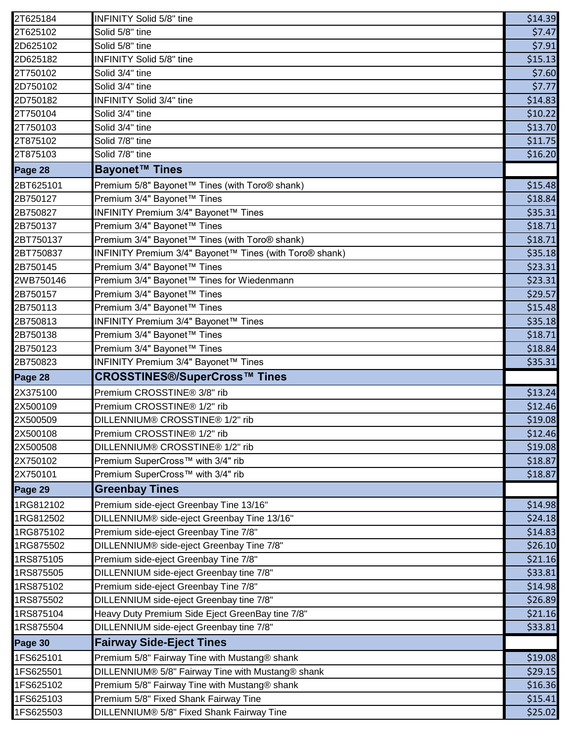| 2T625184               | <b>INFINITY Solid 5/8" tine</b>                                                        | \$14.39            |
|------------------------|----------------------------------------------------------------------------------------|--------------------|
| 2T625102               | Solid 5/8" tine                                                                        | \$7.47             |
| 2D625102               | Solid 5/8" tine                                                                        | \$7.91             |
| 2D625182               | <b>INFINITY Solid 5/8" tine</b>                                                        | \$15.13            |
| 2T750102               | Solid 3/4" tine                                                                        | \$7.60             |
| 2D750102               | Solid 3/4" tine                                                                        | \$7.77             |
| 2D750182               | INFINITY Solid 3/4" tine                                                               | \$14.83            |
| 2T750104               | Solid 3/4" tine                                                                        | \$10.22            |
| 2T750103               | Solid 3/4" tine                                                                        | \$13.70            |
| 2T875102               | Solid 7/8" tine                                                                        | \$11.75            |
| 2T875103               | Solid 7/8" tine                                                                        | \$16.20            |
| Page 28                | <b>Bayonet™ Tines</b>                                                                  |                    |
| 2BT625101              | Premium 5/8" Bayonet™ Tines (with Toro® shank)                                         | \$15.48            |
| 2B750127               | Premium 3/4" Bayonet™ Tines                                                            | \$18.84            |
| 2B750827               | INFINITY Premium 3/4" Bayonet™ Tines                                                   | \$35.31            |
| 2B750137               | Premium 3/4" Bayonet™ Tines                                                            | \$18.71            |
| 2BT750137              | Premium 3/4" Bayonet™ Tines (with Toro® shank)                                         | \$18.71            |
| 2BT750837              | INFINITY Premium 3/4" Bayonet™ Tines (with Toro® shank)                                | \$35.18            |
| 2B750145               | Premium 3/4" Bayonet™ Tines                                                            | \$23.31            |
| 2WB750146              | Premium 3/4" Bayonet™ Tines for Wiedenmann                                             | \$23.31            |
| 2B750157               | Premium 3/4" Bayonet™ Tines                                                            | \$29.57            |
| 2B750113               | Premium 3/4" Bayonet™ Tines                                                            | \$15.48            |
| 2B750813               | INFINITY Premium 3/4" Bayonet™ Tines                                                   | \$35.18            |
| 2B750138               | Premium 3/4" Bayonet™ Tines                                                            | \$18.71            |
| 2B750123               | Premium 3/4" Bayonet™ Tines                                                            | \$18.84            |
| 2B750823               | INFINITY Premium 3/4" Bayonet™ Tines                                                   | \$35.31            |
| Page 28                | <b>CROSSTINES®/SuperCross™ Tines</b>                                                   |                    |
| 2X375100               | Premium CROSSTINE® 3/8" rib                                                            | \$13.24            |
| 2X500109               | Premium CROSSTINE® 1/2" rib                                                            | \$12.46            |
| 2X500509               | DILLENNIUM® CROSSTINE® 1/2" rib                                                        | \$19.08            |
| 2X500108               | Premium CROSSTINE® 1/2" rib                                                            | \$12.46            |
| 2X500508               | DILLENNIUM® CROSSTINE® 1/2" rib                                                        | \$19.08            |
| 2X750102               | Premium SuperCross™ with 3/4" rib                                                      | \$18.87            |
| 2X750101               | Premium SuperCross™ with 3/4" rib                                                      | \$18.87            |
| Page 29                | <b>Greenbay Tines</b>                                                                  |                    |
| 1RG812102              | Premium side-eject Greenbay Tine 13/16"                                                | \$14.98            |
| 1RG812502              | DILLENNIUM® side-eject Greenbay Tine 13/16"                                            | \$24.18            |
| 1RG875102              | Premium side-eject Greenbay Tine 7/8"                                                  | \$14.83            |
| 1RG875502              | DILLENNIUM® side-eject Greenbay Tine 7/8"                                              | \$26.10            |
| 1RS875105              | Premium side-eject Greenbay Tine 7/8"                                                  | \$21.16            |
| 1RS875505              | DILLENNIUM side-eject Greenbay tine 7/8"                                               | \$33.81            |
| 1RS875102              | Premium side-eject Greenbay Tine 7/8"                                                  | \$14.98            |
| 1RS875502              | DILLENNIUM side-eject Greenbay tine 7/8"                                               | \$26.89            |
| 1RS875104              | Heavy Duty Premium Side Eject GreenBay tine 7/8"                                       | \$21.16            |
| 1RS875504              | DILLENNIUM side-eject Greenbay tine 7/8"                                               | \$33.81            |
|                        | <b>Fairway Side-Eject Tines</b>                                                        |                    |
| Page 30                |                                                                                        | \$19.08            |
| 1FS625101              | Premium 5/8" Fairway Tine with Mustang® shank                                          |                    |
| 1FS625501              | DILLENNIUM® 5/8" Fairway Tine with Mustang® shank                                      | \$29.15            |
| 1FS625102<br>1FS625103 | Premium 5/8" Fairway Tine with Mustang® shank<br>Premium 5/8" Fixed Shank Fairway Tine | \$16.36<br>\$15.41 |
| 1FS625503              | DILLENNIUM® 5/8" Fixed Shank Fairway Tine                                              | \$25.02            |
|                        |                                                                                        |                    |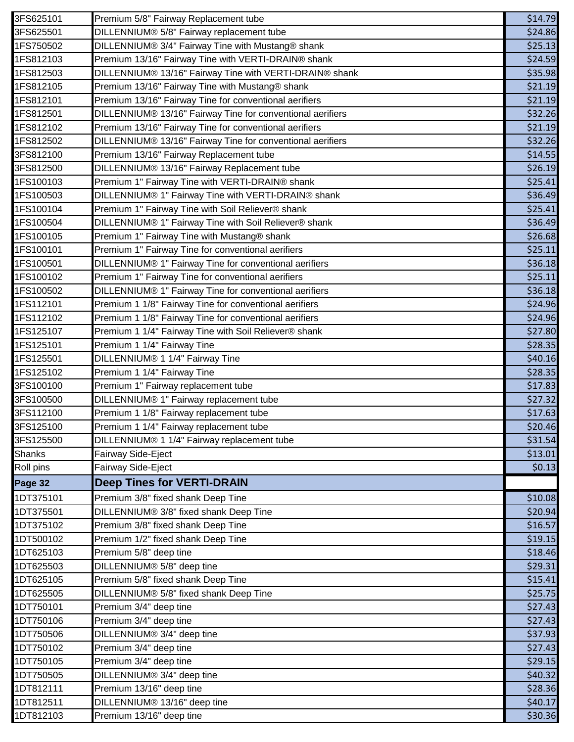| 3FS625101     | Premium 5/8" Fairway Replacement tube                      | \$14.79 |
|---------------|------------------------------------------------------------|---------|
| 3FS625501     | DILLENNIUM® 5/8" Fairway replacement tube                  | \$24.86 |
| 1FS750502     | DILLENNIUM® 3/4" Fairway Tine with Mustang® shank          | \$25.13 |
| 1FS812103     | Premium 13/16" Fairway Tine with VERTI-DRAIN® shank        | \$24.59 |
| 1FS812503     | DILLENNIUM® 13/16" Fairway Tine with VERTI-DRAIN® shank    | \$35.98 |
| 1FS812105     | Premium 13/16" Fairway Tine with Mustang® shank            | \$21.19 |
| 1FS812101     | Premium 13/16" Fairway Tine for conventional aerifiers     | \$21.19 |
| 1FS812501     | DILLENNIUM® 13/16" Fairway Tine for conventional aerifiers | \$32.26 |
| 1FS812102     | Premium 13/16" Fairway Tine for conventional aerifiers     | \$21.19 |
| 1FS812502     | DILLENNIUM® 13/16" Fairway Tine for conventional aerifiers | \$32.26 |
| 3FS812100     | Premium 13/16" Fairway Replacement tube                    | \$14.55 |
| 3FS812500     | DILLENNIUM® 13/16" Fairway Replacement tube                | \$26.19 |
| 1FS100103     | Premium 1" Fairway Tine with VERTI-DRAIN® shank            | \$25.41 |
| 1FS100503     | DILLENNIUM® 1" Fairway Tine with VERTI-DRAIN® shank        | \$36.49 |
| 1FS100104     | Premium 1" Fairway Tine with Soil Reliever® shank          | \$25.41 |
| 1FS100504     | DILLENNIUM® 1" Fairway Tine with Soil Reliever® shank      | \$36.49 |
| 1FS100105     | Premium 1" Fairway Tine with Mustang® shank                | \$26.68 |
| 1FS100101     | Premium 1" Fairway Tine for conventional aerifiers         | \$25.11 |
| 1FS100501     | DILLENNIUM® 1" Fairway Tine for conventional aerifiers     | \$36.18 |
| 1FS100102     | Premium 1" Fairway Tine for conventional aerifiers         | \$25.11 |
| 1FS100502     | DILLENNIUM® 1" Fairway Tine for conventional aerifiers     | \$36.18 |
| 1FS112101     | Premium 1 1/8" Fairway Tine for conventional aerifiers     | \$24.96 |
| 1FS112102     | Premium 1 1/8" Fairway Tine for conventional aerifiers     | \$24.96 |
| 1FS125107     | Premium 1 1/4" Fairway Tine with Soil Reliever® shank      | \$27.80 |
| 1FS125101     | Premium 1 1/4" Fairway Tine                                | \$28.35 |
| 1FS125501     | DILLENNIUM® 1 1/4" Fairway Tine                            | \$40.16 |
| 1FS125102     | Premium 1 1/4" Fairway Tine                                | \$28.35 |
| 3FS100100     | Premium 1" Fairway replacement tube                        | \$17.83 |
| 3FS100500     | DILLENNIUM® 1" Fairway replacement tube                    | \$27.32 |
| 3FS112100     | Premium 1 1/8" Fairway replacement tube                    | \$17.63 |
| 3FS125100     | Premium 1 1/4" Fairway replacement tube                    | \$20.46 |
| 3FS125500     | DILLENNIUM® 1 1/4" Fairway replacement tube                | \$31.54 |
| <b>Shanks</b> | Fairway Side-Eject                                         | \$13.01 |
| Roll pins     | Fairway Side-Eject                                         | \$0.13  |
| Page 32       | <b>Deep Tines for VERTI-DRAIN</b>                          |         |
| 1DT375101     | Premium 3/8" fixed shank Deep Tine                         | \$10.08 |
| 1DT375501     | DILLENNIUM® 3/8" fixed shank Deep Tine                     | \$20.94 |
| 1DT375102     | Premium 3/8" fixed shank Deep Tine                         | \$16.57 |
| 1DT500102     | Premium 1/2" fixed shank Deep Tine                         | \$19.15 |
| 1DT625103     | Premium 5/8" deep tine                                     | \$18.46 |
| 1DT625503     | DILLENNIUM® 5/8" deep tine                                 | \$29.31 |
| 1DT625105     | Premium 5/8" fixed shank Deep Tine                         | \$15.41 |
| 1DT625505     | DILLENNIUM® 5/8" fixed shank Deep Tine                     | \$25.75 |
| 1DT750101     | Premium 3/4" deep tine                                     | \$27.43 |
| 1DT750106     | Premium 3/4" deep tine                                     | \$27.43 |
| 1DT750506     | DILLENNIUM® 3/4" deep tine                                 | \$37.93 |
| 1DT750102     | Premium 3/4" deep tine                                     | \$27.43 |
| 1DT750105     | Premium 3/4" deep tine                                     | \$29.15 |
| 1DT750505     | DILLENNIUM® 3/4" deep tine                                 | \$40.32 |
| 1DT812111     | Premium 13/16" deep tine                                   | \$28.36 |
| 1DT812511     | DILLENNIUM® 13/16" deep tine                               | \$40.17 |
| 1DT812103     | Premium 13/16" deep tine                                   | \$30.36 |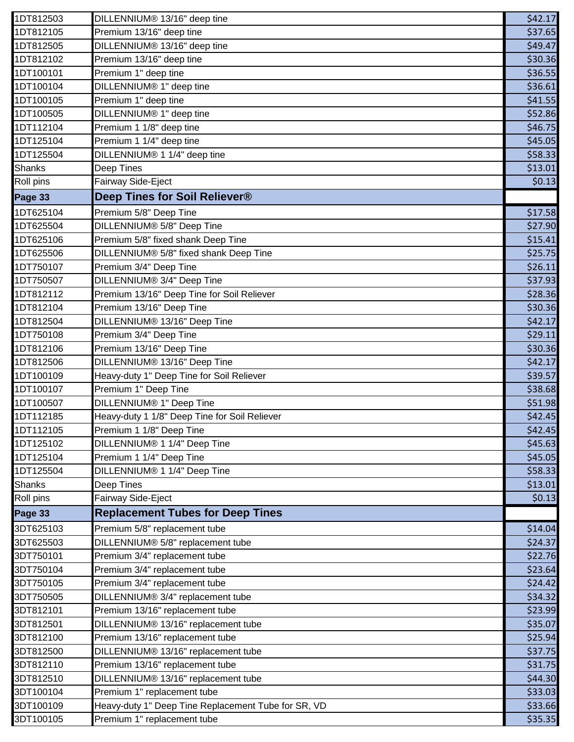| 1DT812503     | DILLENNIUM® 13/16" deep tine                        | \$42.17 |
|---------------|-----------------------------------------------------|---------|
| 1DT812105     | Premium 13/16" deep tine                            | \$37.65 |
| 1DT812505     | DILLENNIUM® 13/16" deep tine                        | \$49.47 |
| 1DT812102     | Premium 13/16" deep tine                            | \$30.36 |
| 1DT100101     | Premium 1" deep tine                                | \$36.55 |
| 1DT100104     | DILLENNIUM® 1" deep tine                            | \$36.61 |
| 1DT100105     | Premium 1" deep tine                                | \$41.55 |
| 1DT100505     | DILLENNIUM® 1" deep tine                            | \$52.86 |
| 1DT112104     | Premium 1 1/8" deep tine                            | \$46.75 |
| 1DT125104     | Premium 1 1/4" deep tine                            | \$45.05 |
| 1DT125504     | DILLENNIUM® 1 1/4" deep tine                        | \$58.33 |
| <b>Shanks</b> | Deep Tines                                          | \$13.01 |
| Roll pins     | Fairway Side-Eject                                  | \$0.13  |
| Page 33       | Deep Tines for Soil Reliever®                       |         |
| 1DT625104     | Premium 5/8" Deep Tine                              | \$17.58 |
| 1DT625504     | DILLENNIUM® 5/8" Deep Tine                          | \$27.90 |
| 1DT625106     | Premium 5/8" fixed shank Deep Tine                  | \$15.41 |
| 1DT625506     | DILLENNIUM® 5/8" fixed shank Deep Tine              | \$25.75 |
| 1DT750107     | Premium 3/4" Deep Tine                              | \$26.11 |
| 1DT750507     | DILLENNIUM® 3/4" Deep Tine                          | \$37.93 |
| 1DT812112     | Premium 13/16" Deep Tine for Soil Reliever          | \$28.36 |
| 1DT812104     | Premium 13/16" Deep Tine                            | \$30.36 |
| 1DT812504     | DILLENNIUM® 13/16" Deep Tine                        | \$42.17 |
| 1DT750108     | Premium 3/4" Deep Tine                              | \$29.11 |
| 1DT812106     | Premium 13/16" Deep Tine                            | \$30.36 |
| 1DT812506     | DILLENNIUM® 13/16" Deep Tine                        | \$42.17 |
| 1DT100109     | Heavy-duty 1" Deep Tine for Soil Reliever           | \$39.57 |
| 1DT100107     | Premium 1" Deep Tine                                | \$38.68 |
| 1DT100507     | DILLENNIUM® 1" Deep Tine                            | \$51.98 |
| 1DT112185     | Heavy-duty 1 1/8" Deep Tine for Soil Reliever       | \$42.45 |
| 1DT112105     | Premium 1 1/8" Deep Tine                            | \$42.45 |
| 1DT125102     | DILLENNIUM® 1 1/4" Deep Tine                        | \$45.63 |
| 1DT125104     | Premium 1 1/4" Deep Tine                            | \$45.05 |
| 1DT125504     | DILLENNIUM® 1 1/4" Deep Tine                        | \$58.33 |
| <b>Shanks</b> | Deep Tines                                          | \$13.01 |
| Roll pins     | Fairway Side-Eject                                  | \$0.13  |
| Page 33       | <b>Replacement Tubes for Deep Tines</b>             |         |
| 3DT625103     | Premium 5/8" replacement tube                       | \$14.04 |
| 3DT625503     | DILLENNIUM® 5/8" replacement tube                   | \$24.37 |
| 3DT750101     | Premium 3/4" replacement tube                       | \$22.76 |
| 3DT750104     | Premium 3/4" replacement tube                       | \$23.64 |
| 3DT750105     | Premium 3/4" replacement tube                       | \$24.42 |
| 3DT750505     | DILLENNIUM® 3/4" replacement tube                   | \$34.32 |
| 3DT812101     | Premium 13/16" replacement tube                     | \$23.99 |
| 3DT812501     | DILLENNIUM® 13/16" replacement tube                 | \$35.07 |
| 3DT812100     | Premium 13/16" replacement tube                     | \$25.94 |
| 3DT812500     | DILLENNIUM® 13/16" replacement tube                 | \$37.75 |
| 3DT812110     | Premium 13/16" replacement tube                     | \$31.75 |
| 3DT812510     | DILLENNIUM® 13/16" replacement tube                 | \$44.30 |
| 3DT100104     | Premium 1" replacement tube                         | \$33.03 |
| 3DT100109     | Heavy-duty 1" Deep Tine Replacement Tube for SR, VD | \$33.66 |
| 3DT100105     | Premium 1" replacement tube                         | \$35.35 |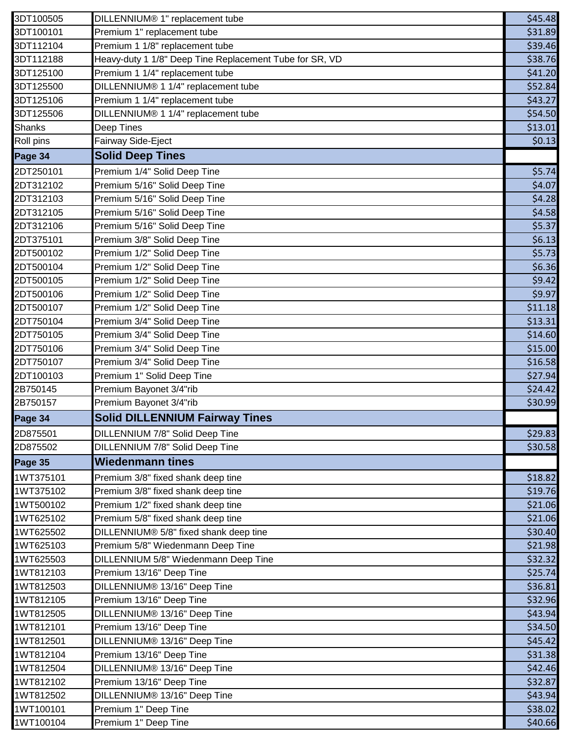| 3DT100505     | DILLENNIUM® 1" replacement tube                         | \$45.48 |
|---------------|---------------------------------------------------------|---------|
| 3DT100101     | Premium 1" replacement tube                             | \$31.89 |
| 3DT112104     | Premium 1 1/8" replacement tube                         | \$39.46 |
| 3DT112188     | Heavy-duty 1 1/8" Deep Tine Replacement Tube for SR, VD | \$38.76 |
| 3DT125100     | Premium 1 1/4" replacement tube                         | \$41.20 |
| 3DT125500     | DILLENNIUM® 1 1/4" replacement tube                     | \$52.84 |
| 3DT125106     | Premium 1 1/4" replacement tube                         | \$43.27 |
| 3DT125506     | DILLENNIUM® 1 1/4" replacement tube                     | \$54.50 |
| <b>Shanks</b> | Deep Tines                                              | \$13.01 |
| Roll pins     | Fairway Side-Eject                                      | \$0.13  |
| Page 34       | <b>Solid Deep Tines</b>                                 |         |
| 2DT250101     | Premium 1/4" Solid Deep Tine                            | \$5.74  |
| 2DT312102     | Premium 5/16" Solid Deep Tine                           | \$4.07  |
| 2DT312103     | Premium 5/16" Solid Deep Tine                           | \$4.28  |
| 2DT312105     | Premium 5/16" Solid Deep Tine                           | \$4.58  |
| 2DT312106     | Premium 5/16" Solid Deep Tine                           | \$5.37  |
| 2DT375101     | Premium 3/8" Solid Deep Tine                            | \$6.13  |
| 2DT500102     | Premium 1/2" Solid Deep Tine                            | \$5.73  |
| 2DT500104     | Premium 1/2" Solid Deep Tine                            | \$6.36  |
| 2DT500105     | Premium 1/2" Solid Deep Tine                            | \$9.42  |
| 2DT500106     | Premium 1/2" Solid Deep Tine                            | \$9.97  |
| 2DT500107     | Premium 1/2" Solid Deep Tine                            | \$11.18 |
| 2DT750104     | Premium 3/4" Solid Deep Tine                            | \$13.31 |
| 2DT750105     | Premium 3/4" Solid Deep Tine                            | \$14.60 |
| 2DT750106     | Premium 3/4" Solid Deep Tine                            | \$15.00 |
| 2DT750107     | Premium 3/4" Solid Deep Tine                            | \$16.58 |
| 2DT100103     | Premium 1" Solid Deep Tine                              | \$27.94 |
| 2B750145      | Premium Bayonet 3/4"rib                                 | \$24.42 |
| 2B750157      | Premium Bayonet 3/4"rib                                 | \$30.99 |
| Page 34       | <b>Solid DILLENNIUM Fairway Tines</b>                   |         |
| 2D875501      | DILLENNIUM 7/8" Solid Deep Tine                         | \$29.83 |
| 2D875502      | DILLENNIUM 7/8" Solid Deep Tine                         | \$30.58 |
| Page 35       | <b>Wiedenmann tines</b>                                 |         |
| 1WT375101     | Premium 3/8" fixed shank deep tine                      | \$18.82 |
| 1WT375102     | Premium 3/8" fixed shank deep tine                      | \$19.76 |
| 1WT500102     | Premium 1/2" fixed shank deep tine                      | \$21.06 |
| 1WT625102     | Premium 5/8" fixed shank deep tine                      | \$21.06 |
| 1WT625502     | DILLENNIUM® 5/8" fixed shank deep tine                  | \$30.40 |
| 1WT625103     | Premium 5/8" Wiedenmann Deep Tine                       | \$21.98 |
| 1WT625503     | DILLENNIUM 5/8" Wiedenmann Deep Tine                    | \$32.32 |
| 1WT812103     | Premium 13/16" Deep Tine                                | \$25.74 |
| 1WT812503     | DILLENNIUM® 13/16" Deep Tine                            | \$36.81 |
| 1WT812105     | Premium 13/16" Deep Tine                                | \$32.96 |
| 1WT812505     | DILLENNIUM® 13/16" Deep Tine                            | \$43.94 |
| 1WT812101     | Premium 13/16" Deep Tine                                | \$34.50 |
| 1WT812501     | DILLENNIUM® 13/16" Deep Tine                            | \$45.42 |
| 1WT812104     | Premium 13/16" Deep Tine                                | \$31.38 |
| 1WT812504     | DILLENNIUM® 13/16" Deep Tine                            | \$42.46 |
| 1WT812102     | Premium 13/16" Deep Tine                                | \$32.87 |
| 1WT812502     | DILLENNIUM® 13/16" Deep Tine                            | \$43.94 |
| 1WT100101     | Premium 1" Deep Tine                                    | \$38.02 |
| 1WT100104     | Premium 1" Deep Tine                                    | \$40.66 |
|               |                                                         |         |